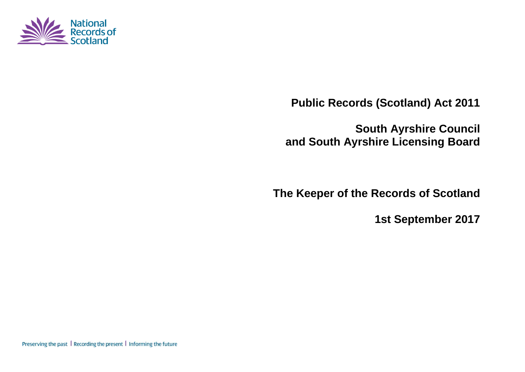

**Public Records (Scotland) Act 2011**

**South Ayrshire Council and South Ayrshire Licensing Board**

**The Keeper of the Records of Scotland**

**1st September 2017**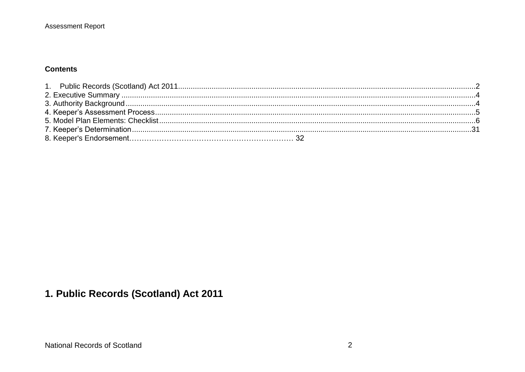## **Contents**

# <span id="page-1-0"></span>1. Public Records (Scotland) Act 2011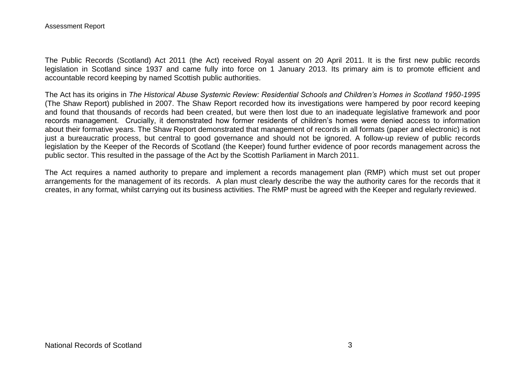#### Assessment Report

The Public Records (Scotland) Act 2011 (the Act) received Royal assent on 20 April 2011. It is the first new public records legislation in Scotland since 1937 and came fully into force on 1 January 2013. Its primary aim is to promote efficient and accountable record keeping by named Scottish public authorities.

The Act has its origins in *The Historical Abuse Systemic Review: Residential Schools and Children's Homes in Scotland 1950-1995* (The Shaw Report) published in 2007. The Shaw Report recorded how its investigations were hampered by poor record keeping and found that thousands of records had been created, but were then lost due to an inadequate legislative framework and poor records management. Crucially, it demonstrated how former residents of children's homes were denied access to information about their formative years. The Shaw Report demonstrated that management of records in all formats (paper and electronic) is not just a bureaucratic process, but central to good governance and should not be ignored. A follow-up review of public records legislation by the Keeper of the Records of Scotland (the Keeper) found further evidence of poor records management across the public sector. This resulted in the passage of the Act by the Scottish Parliament in March 2011.

The Act requires a named authority to prepare and implement a records management plan (RMP) which must set out proper arrangements for the management of its records. A plan must clearly describe the way the authority cares for the records that it creates, in any format, whilst carrying out its business activities. The RMP must be agreed with the Keeper and regularly reviewed.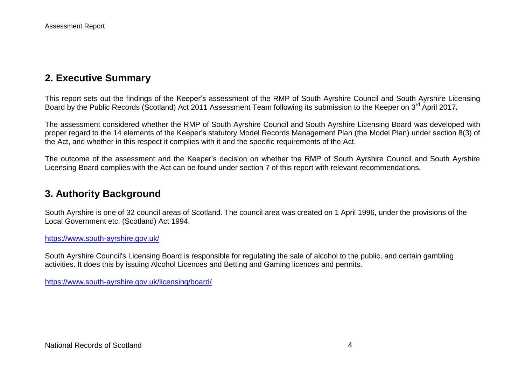# <span id="page-3-0"></span>**2. Executive Summary**

This report sets out the findings of the Keeper's assessment of the RMP of South Ayrshire Council and South Ayrshire Licensing Board by the Public Records (Scotland) Act 2011 Assessment Team following its submission to the Keeper on 3<sup>rd</sup> April 2017.

The assessment considered whether the RMP of South Ayrshire Council and South Ayrshire Licensing Board was developed with proper regard to the 14 elements of the Keeper's statutory Model Records Management Plan (the Model Plan) under section 8(3) of the Act, and whether in this respect it complies with it and the specific requirements of the Act.

The outcome of the assessment and the Keeper's decision on whether the RMP of South Ayrshire Council and South Ayrshire Licensing Board complies with the Act can be found under section 7 of this report with relevant recommendations.

## <span id="page-3-1"></span>**3. Authority Background**

South Ayrshire is one of 32 council areas of Scotland. The council area was created on 1 April 1996, under the provisions of the Local Government etc. (Scotland) Act 1994.

<https://www.south-ayrshire.gov.uk/>

South Ayrshire Council's Licensing Board is responsible for regulating the sale of alcohol to the public, and certain gambling activities. It does this by issuing Alcohol Licences and Betting and Gaming licences and permits.

<https://www.south-ayrshire.gov.uk/licensing/board/>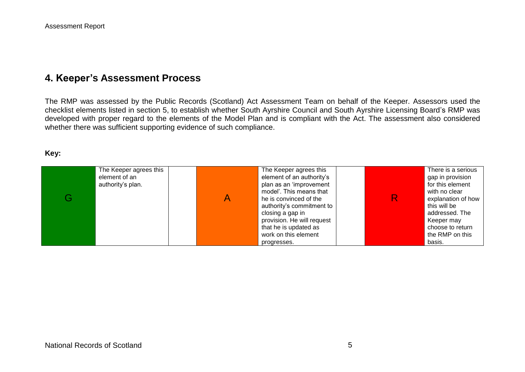# <span id="page-4-0"></span>**4. Keeper's Assessment Process**

The RMP was assessed by the Public Records (Scotland) Act Assessment Team on behalf of the Keeper. Assessors used the checklist elements listed in section 5, to establish whether South Ayrshire Council and South Ayrshire Licensing Board's RMP was developed with proper regard to the elements of the Model Plan and is compliant with the Act. The assessment also considered whether there was sufficient supporting evidence of such compliance.

#### **Key:**

|   | The Keeper agrees this | The Keeper agrees this     | There is a serious |
|---|------------------------|----------------------------|--------------------|
|   | element of an          | element of an authority's  | gap in provision   |
|   | authority's plan.      | plan as an 'improvement    | for this element   |
|   |                        | model'. This means that    | with no clear      |
| G |                        | he is convinced of the     | explanation of how |
|   |                        | authority's commitment to  | this will be       |
|   |                        | closing a gap in           | addressed. The     |
|   |                        | provision. He will request | Keeper may         |
|   |                        | that he is updated as      | choose to return   |
|   |                        | work on this element       | the RMP on this    |
|   |                        | progresses.                | basis.             |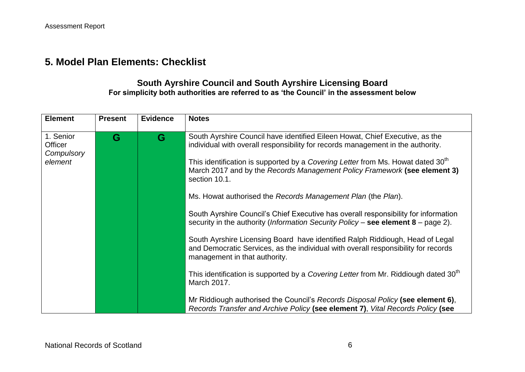# <span id="page-5-0"></span>**5. Model Plan Elements: Checklist**

## **South Ayrshire Council and South Ayrshire Licensing Board For simplicity both authorities are referred to as 'the Council' in the assessment below**

| <b>Element</b>                                | <b>Present</b> | <b>Evidence</b> | <b>Notes</b>                                                                                                                                                                                                                                                                                                                                                                                                                                                                                                                                                                                                                                                                                                                                                                                                                                                                                                                       |
|-----------------------------------------------|----------------|-----------------|------------------------------------------------------------------------------------------------------------------------------------------------------------------------------------------------------------------------------------------------------------------------------------------------------------------------------------------------------------------------------------------------------------------------------------------------------------------------------------------------------------------------------------------------------------------------------------------------------------------------------------------------------------------------------------------------------------------------------------------------------------------------------------------------------------------------------------------------------------------------------------------------------------------------------------|
| 1. Senior<br>Officer<br>Compulsory<br>element | G              | G               | South Ayrshire Council have identified Eileen Howat, Chief Executive, as the<br>individual with overall responsibility for records management in the authority.<br>This identification is supported by a Covering Letter from Ms. Howat dated 30 <sup>th</sup><br>March 2017 and by the Records Management Policy Framework (see element 3)<br>section 10.1.<br>Ms. Howat authorised the Records Management Plan (the Plan).<br>South Ayrshire Council's Chief Executive has overall responsibility for information<br>security in the authority (Information Security Policy - see element 8 - page 2).<br>South Ayrshire Licensing Board have identified Ralph Riddiough, Head of Legal<br>and Democratic Services, as the individual with overall responsibility for records<br>management in that authority.<br>This identification is supported by a Covering Letter from Mr. Riddiough dated 30 <sup>th</sup><br>March 2017. |
|                                               |                |                 | Mr Riddiough authorised the Council's Records Disposal Policy (see element 6),<br>Records Transfer and Archive Policy (see element 7), Vital Records Policy (see                                                                                                                                                                                                                                                                                                                                                                                                                                                                                                                                                                                                                                                                                                                                                                   |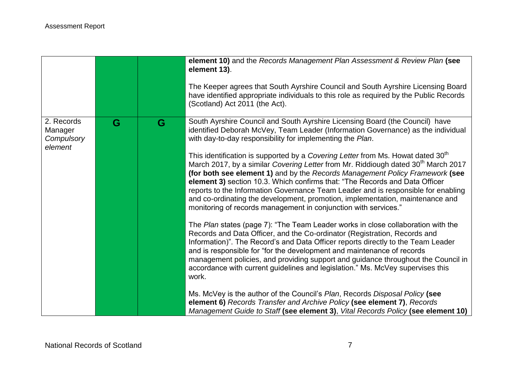|                                                |   |   | element 10) and the Records Management Plan Assessment & Review Plan (see<br>element 13).<br>The Keeper agrees that South Ayrshire Council and South Ayrshire Licensing Board<br>have identified appropriate individuals to this role as required by the Public Records<br>(Scotland) Act 2011 (the Act).                                                                                                                                                                                                                                                                                                                                                                                                                                                                                                                                                                                                                                                                                                                                                                                                                                                                                                                                                                                                                                                                                                                                                                                                                                                                                          |
|------------------------------------------------|---|---|----------------------------------------------------------------------------------------------------------------------------------------------------------------------------------------------------------------------------------------------------------------------------------------------------------------------------------------------------------------------------------------------------------------------------------------------------------------------------------------------------------------------------------------------------------------------------------------------------------------------------------------------------------------------------------------------------------------------------------------------------------------------------------------------------------------------------------------------------------------------------------------------------------------------------------------------------------------------------------------------------------------------------------------------------------------------------------------------------------------------------------------------------------------------------------------------------------------------------------------------------------------------------------------------------------------------------------------------------------------------------------------------------------------------------------------------------------------------------------------------------------------------------------------------------------------------------------------------------|
| 2. Records<br>Manager<br>Compulsory<br>element | G | G | South Ayrshire Council and South Ayrshire Licensing Board (the Council) have<br>identified Deborah McVey, Team Leader (Information Governance) as the individual<br>with day-to-day responsibility for implementing the Plan.<br>This identification is supported by a Covering Letter from Ms. Howat dated 30 <sup>th</sup><br>March 2017, by a similar Covering Letter from Mr. Riddiough dated 30 <sup>th</sup> March 2017<br>(for both see element 1) and by the Records Management Policy Framework (see<br>element 3) section 10.3. Which confirms that: "The Records and Data Officer<br>reports to the Information Governance Team Leader and is responsible for enabling<br>and co-ordinating the development, promotion, implementation, maintenance and<br>monitoring of records management in conjunction with services."<br>The Plan states (page 7): "The Team Leader works in close collaboration with the<br>Records and Data Officer, and the Co-ordinator (Registration, Records and<br>Information)". The Record's and Data Officer reports directly to the Team Leader<br>and is responsible for "for the development and maintenance of records<br>management policies, and providing support and guidance throughout the Council in<br>accordance with current guidelines and legislation." Ms. McVey supervises this<br>work.<br>Ms. McVey is the author of the Council's Plan, Records Disposal Policy (see<br>element 6) Records Transfer and Archive Policy (see element 7), Records<br>Management Guide to Staff (see element 3), Vital Records Policy (see element 10) |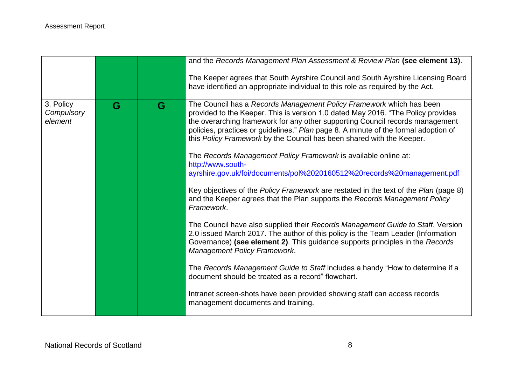|                                    |   |   | and the Records Management Plan Assessment & Review Plan (see element 13).                                                                                                                                                                                                                                                                                                                                                                                                                                                                                                                                                                                           |
|------------------------------------|---|---|----------------------------------------------------------------------------------------------------------------------------------------------------------------------------------------------------------------------------------------------------------------------------------------------------------------------------------------------------------------------------------------------------------------------------------------------------------------------------------------------------------------------------------------------------------------------------------------------------------------------------------------------------------------------|
|                                    |   |   | The Keeper agrees that South Ayrshire Council and South Ayrshire Licensing Board<br>have identified an appropriate individual to this role as required by the Act.                                                                                                                                                                                                                                                                                                                                                                                                                                                                                                   |
| 3. Policy<br>Compulsory<br>element | G | G | The Council has a Records Management Policy Framework which has been<br>provided to the Keeper. This is version 1.0 dated May 2016. "The Policy provides<br>the overarching framework for any other supporting Council records management<br>policies, practices or guidelines." Plan page 8. A minute of the formal adoption of<br>this Policy Framework by the Council has been shared with the Keeper.<br>The Records Management Policy Framework is available online at:<br>http://www.south-<br>ayrshire.gov.uk/foi/documents/pol%2020160512%20records%20management.pdf<br>Key objectives of the Policy Framework are restated in the text of the Plan (page 8) |
|                                    |   |   | and the Keeper agrees that the Plan supports the Records Management Policy<br>Framework.                                                                                                                                                                                                                                                                                                                                                                                                                                                                                                                                                                             |
|                                    |   |   | The Council have also supplied their Records Management Guide to Staff. Version<br>2.0 issued March 2017. The author of this policy is the Team Leader (Information<br>Governance) (see element 2). This guidance supports principles in the Records<br><b>Management Policy Framework.</b>                                                                                                                                                                                                                                                                                                                                                                          |
|                                    |   |   | The Records Management Guide to Staff includes a handy "How to determine if a<br>document should be treated as a record" flowchart.                                                                                                                                                                                                                                                                                                                                                                                                                                                                                                                                  |
|                                    |   |   | Intranet screen-shots have been provided showing staff can access records<br>management documents and training.                                                                                                                                                                                                                                                                                                                                                                                                                                                                                                                                                      |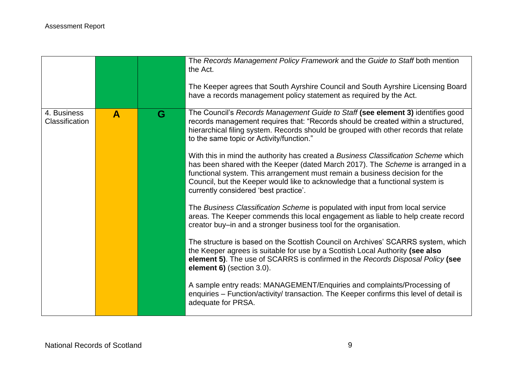|                               |              |   | The Records Management Policy Framework and the Guide to Staff both mention<br>the Act.                                                                                                                                                                                                                                                                                        |
|-------------------------------|--------------|---|--------------------------------------------------------------------------------------------------------------------------------------------------------------------------------------------------------------------------------------------------------------------------------------------------------------------------------------------------------------------------------|
|                               |              |   | The Keeper agrees that South Ayrshire Council and South Ayrshire Licensing Board<br>have a records management policy statement as required by the Act.                                                                                                                                                                                                                         |
| 4. Business<br>Classification | $\mathbf{A}$ | G | The Council's Records Management Guide to Staff (see element 3) identifies good<br>records management requires that: "Records should be created within a structured,<br>hierarchical filing system. Records should be grouped with other records that relate<br>to the same topic or Activity/function."                                                                       |
|                               |              |   | With this in mind the authority has created a Business Classification Scheme which<br>has been shared with the Keeper (dated March 2017). The Scheme is arranged in a<br>functional system. This arrangement must remain a business decision for the<br>Council, but the Keeper would like to acknowledge that a functional system is<br>currently considered 'best practice'. |
|                               |              |   | The Business Classification Scheme is populated with input from local service<br>areas. The Keeper commends this local engagement as liable to help create record<br>creator buy-in and a stronger business tool for the organisation.                                                                                                                                         |
|                               |              |   | The structure is based on the Scottish Council on Archives' SCARRS system, which<br>the Keeper agrees is suitable for use by a Scottish Local Authority (see also<br>element 5). The use of SCARRS is confirmed in the Records Disposal Policy (see<br>element 6) (section 3.0).                                                                                               |
|                               |              |   | A sample entry reads: MANAGEMENT/Enquiries and complaints/Processing of<br>enquiries - Function/activity/ transaction. The Keeper confirms this level of detail is<br>adequate for PRSA.                                                                                                                                                                                       |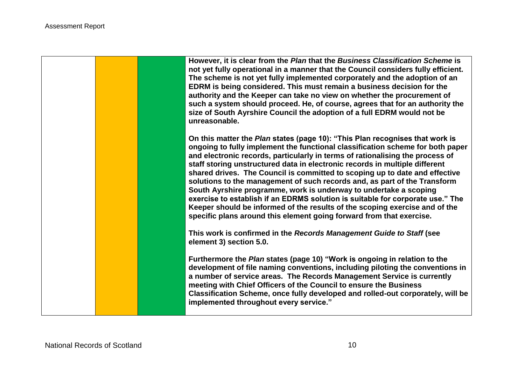**However, it is clear from the** *Plan* **that the** *Business Classification Scheme* **is not yet fully operational in a manner that the Council considers fully efficient. The scheme is not yet fully implemented corporately and the adoption of an EDRM is being considered. This must remain a business decision for the authority and the Keeper can take no view on whether the procurement of such a system should proceed. He, of course, agrees that for an authority the size of South Ayrshire Council the adoption of a full EDRM would not be unreasonable.**

**On this matter the** *Plan* **states (page 10): "This Plan recognises that work is ongoing to fully implement the functional classification scheme for both paper and electronic records, particularly in terms of rationalising the process of staff storing unstructured data in electronic records in multiple different shared drives. The Council is committed to scoping up to date and effective solutions to the management of such records and, as part of the Transform South Ayrshire programme, work is underway to undertake a scoping exercise to establish if an EDRMS solution is suitable for corporate use." The Keeper should be informed of the results of the scoping exercise and of the specific plans around this element going forward from that exercise.** 

**This work is confirmed in the** *Records Management Guide to Staff* **(see element 3) section 5.0.**

**Furthermore the** *Plan* **states (page 10) "Work is ongoing in relation to the development of file naming conventions, including piloting the conventions in a number of service areas. The Records Management Service is currently meeting with Chief Officers of the Council to ensure the Business Classification Scheme, once fully developed and rolled-out corporately, will be implemented throughout every service."**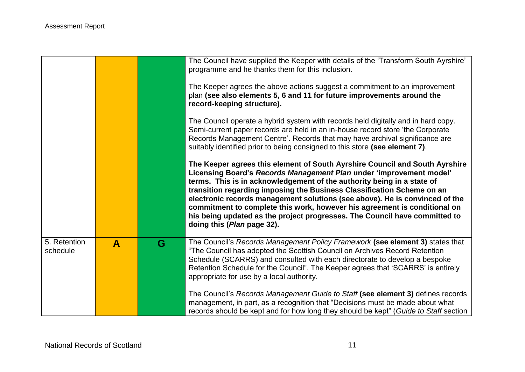|                          |              |   | The Council have supplied the Keeper with details of the 'Transform South Ayrshire'<br>programme and he thanks them for this inclusion.<br>The Keeper agrees the above actions suggest a commitment to an improvement<br>plan (see also elements 5, 6 and 11 for future improvements around the<br>record-keeping structure).                                                                                                                                                                                                                                                          |
|--------------------------|--------------|---|----------------------------------------------------------------------------------------------------------------------------------------------------------------------------------------------------------------------------------------------------------------------------------------------------------------------------------------------------------------------------------------------------------------------------------------------------------------------------------------------------------------------------------------------------------------------------------------|
|                          |              |   | The Council operate a hybrid system with records held digitally and in hard copy.<br>Semi-current paper records are held in an in-house record store 'the Corporate'<br>Records Management Centre'. Records that may have archival significance are<br>suitably identified prior to being consigned to this store (see element 7).                                                                                                                                                                                                                                                     |
|                          |              |   | The Keeper agrees this element of South Ayrshire Council and South Ayrshire<br>Licensing Board's Records Management Plan under 'improvement model'<br>terms. This is in acknowledgement of the authority being in a state of<br>transition regarding imposing the Business Classification Scheme on an<br>electronic records management solutions (see above). He is convinced of the<br>commitment to complete this work, however his agreement is conditional on<br>his being updated as the project progresses. The Council have committed to<br>doing this ( <i>Plan</i> page 32). |
| 5. Retention<br>schedule | $\mathbf{A}$ | G | The Council's Records Management Policy Framework (see element 3) states that<br>"The Council has adopted the Scottish Council on Archives Record Retention<br>Schedule (SCARRS) and consulted with each directorate to develop a bespoke<br>Retention Schedule for the Council". The Keeper agrees that 'SCARRS' is entirely<br>appropriate for use by a local authority.                                                                                                                                                                                                             |
|                          |              |   | The Council's Records Management Guide to Staff (see element 3) defines records<br>management, in part, as a recognition that "Decisions must be made about what<br>records should be kept and for how long they should be kept" (Guide to Staff section                                                                                                                                                                                                                                                                                                                               |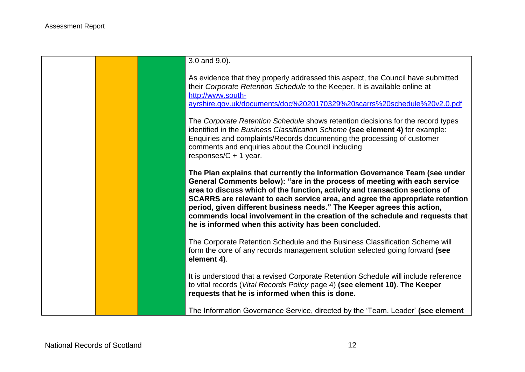|  | 3.0 and 9.0).                                                                                                                                                                                                                                                                                                                                                                                                                                                                                                                                |
|--|----------------------------------------------------------------------------------------------------------------------------------------------------------------------------------------------------------------------------------------------------------------------------------------------------------------------------------------------------------------------------------------------------------------------------------------------------------------------------------------------------------------------------------------------|
|  | As evidence that they properly addressed this aspect, the Council have submitted<br>their Corporate Retention Schedule to the Keeper. It is available online at<br>http://www.south-<br>ayrshire.gov.uk/documents/doc%2020170329%20scarrs%20schedule%20v2.0.pdf                                                                                                                                                                                                                                                                              |
|  | The Corporate Retention Schedule shows retention decisions for the record types<br>identified in the Business Classification Scheme (see element 4) for example:<br>Enquiries and complaints/Records documenting the processing of customer<br>comments and enquiries about the Council including<br>responses/ $C + 1$ year.                                                                                                                                                                                                                |
|  | The Plan explains that currently the Information Governance Team (see under<br>General Comments below): "are in the process of meeting with each service<br>area to discuss which of the function, activity and transaction sections of<br>SCARRS are relevant to each service area, and agree the appropriate retention<br>period, given different business needs." The Keeper agrees this action,<br>commends local involvement in the creation of the schedule and requests that<br>he is informed when this activity has been concluded. |
|  | The Corporate Retention Schedule and the Business Classification Scheme will<br>form the core of any records management solution selected going forward (see<br>element 4).                                                                                                                                                                                                                                                                                                                                                                  |
|  | It is understood that a revised Corporate Retention Schedule will include reference<br>to vital records (Vital Records Policy page 4) (see element 10). The Keeper<br>requests that he is informed when this is done.                                                                                                                                                                                                                                                                                                                        |
|  | The Information Governance Service, directed by the 'Team, Leader' (see element                                                                                                                                                                                                                                                                                                                                                                                                                                                              |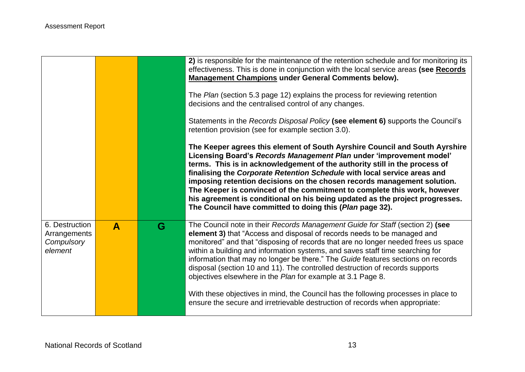|                                                         |              |   | 2) is responsible for the maintenance of the retention schedule and for monitoring its<br>effectiveness. This is done in conjunction with the local service areas (see Records<br><b>Management Champions under General Comments below).</b><br>The Plan (section 5.3 page 12) explains the process for reviewing retention<br>decisions and the centralised control of any changes.<br>Statements in the Records Disposal Policy (see element 6) supports the Council's<br>retention provision (see for example section 3.0).<br>The Keeper agrees this element of South Ayrshire Council and South Ayrshire<br>Licensing Board's Records Management Plan under 'improvement model'<br>terms. This is in acknowledgement of the authority still in the process of<br>finalising the Corporate Retention Schedule with local service areas and<br>imposing retention decisions on the chosen records management solution.<br>The Keeper is convinced of the commitment to complete this work, however<br>his agreement is conditional on his being updated as the project progresses.<br>The Council have committed to doing this (Plan page 32). |
|---------------------------------------------------------|--------------|---|---------------------------------------------------------------------------------------------------------------------------------------------------------------------------------------------------------------------------------------------------------------------------------------------------------------------------------------------------------------------------------------------------------------------------------------------------------------------------------------------------------------------------------------------------------------------------------------------------------------------------------------------------------------------------------------------------------------------------------------------------------------------------------------------------------------------------------------------------------------------------------------------------------------------------------------------------------------------------------------------------------------------------------------------------------------------------------------------------------------------------------------------------|
| 6. Destruction<br>Arrangements<br>Compulsory<br>element | $\mathbf{A}$ | G | The Council note in their Records Management Guide for Staff (section 2) (see<br>element 3) that "Access and disposal of records needs to be managed and<br>monitored" and that "disposing of records that are no longer needed frees us space<br>within a building and information systems, and saves staff time searching for<br>information that may no longer be there." The Guide features sections on records<br>disposal (section 10 and 11). The controlled destruction of records supports<br>objectives elsewhere in the Plan for example at 3.1 Page 8.<br>With these objectives in mind, the Council has the following processes in place to<br>ensure the secure and irretrievable destruction of records when appropriate:                                                                                                                                                                                                                                                                                                                                                                                                          |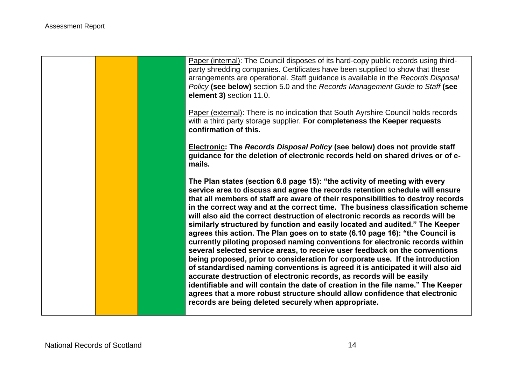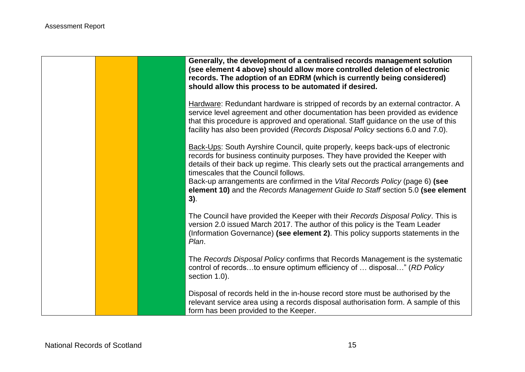|  | Generally, the development of a centralised records management solution<br>(see element 4 above) should allow more controlled deletion of electronic<br>records. The adoption of an EDRM (which is currently being considered)<br>should allow this process to be automated if desired.                                                                                                                                                                                  |
|--|--------------------------------------------------------------------------------------------------------------------------------------------------------------------------------------------------------------------------------------------------------------------------------------------------------------------------------------------------------------------------------------------------------------------------------------------------------------------------|
|  | Hardware: Redundant hardware is stripped of records by an external contractor. A<br>service level agreement and other documentation has been provided as evidence<br>that this procedure is approved and operational. Staff guidance on the use of this<br>facility has also been provided (Records Disposal Policy sections 6.0 and 7.0).                                                                                                                               |
|  | Back-Ups: South Ayrshire Council, quite properly, keeps back-ups of electronic<br>records for business continuity purposes. They have provided the Keeper with<br>details of their back up regime. This clearly sets out the practical arrangements and<br>timescales that the Council follows.<br>Back-up arrangements are confirmed in the Vital Records Policy (page 6) (see<br>element 10) and the Records Management Guide to Staff section 5.0 (see element<br>3). |
|  | The Council have provided the Keeper with their Records Disposal Policy. This is<br>version 2.0 issued March 2017. The author of this policy is the Team Leader<br>(Information Governance) (see element 2). This policy supports statements in the<br>Plan.                                                                                                                                                                                                             |
|  | The Records Disposal Policy confirms that Records Management is the systematic<br>control of recordsto ensure optimum efficiency of  disposal" (RD Policy<br>section 1.0).                                                                                                                                                                                                                                                                                               |
|  | Disposal of records held in the in-house record store must be authorised by the<br>relevant service area using a records disposal authorisation form. A sample of this<br>form has been provided to the Keeper.                                                                                                                                                                                                                                                          |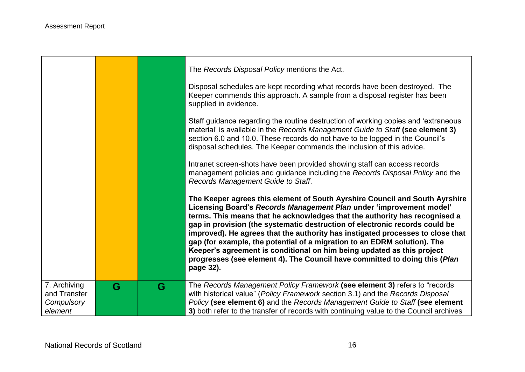- 17

|                              |   |   | The Records Disposal Policy mentions the Act.                                                                                                                                                                                                                                                                                                                                                                                                                                                                                                                                                                                                      |
|------------------------------|---|---|----------------------------------------------------------------------------------------------------------------------------------------------------------------------------------------------------------------------------------------------------------------------------------------------------------------------------------------------------------------------------------------------------------------------------------------------------------------------------------------------------------------------------------------------------------------------------------------------------------------------------------------------------|
|                              |   |   | Disposal schedules are kept recording what records have been destroyed. The<br>Keeper commends this approach. A sample from a disposal register has been<br>supplied in evidence.                                                                                                                                                                                                                                                                                                                                                                                                                                                                  |
|                              |   |   | Staff guidance regarding the routine destruction of working copies and 'extraneous<br>material' is available in the Records Management Guide to Staff (see element 3)<br>section 6.0 and 10.0. These records do not have to be logged in the Council's<br>disposal schedules. The Keeper commends the inclusion of this advice.                                                                                                                                                                                                                                                                                                                    |
|                              |   |   | Intranet screen-shots have been provided showing staff can access records<br>management policies and guidance including the Records Disposal Policy and the<br>Records Management Guide to Staff.                                                                                                                                                                                                                                                                                                                                                                                                                                                  |
|                              |   |   | The Keeper agrees this element of South Ayrshire Council and South Ayrshire<br>Licensing Board's Records Management Plan under 'improvement model'<br>terms. This means that he acknowledges that the authority has recognised a<br>gap in provision (the systematic destruction of electronic records could be<br>improved). He agrees that the authority has instigated processes to close that<br>gap (for example, the potential of a migration to an EDRM solution). The<br>Keeper's agreement is conditional on him being updated as this project<br>progresses (see element 4). The Council have committed to doing this (Plan<br>page 32). |
| 7. Archiving<br>and Transfer | G | G | The Records Management Policy Framework (see element 3) refers to "records<br>with historical value" (Policy Framework section 3.1) and the Records Disposal                                                                                                                                                                                                                                                                                                                                                                                                                                                                                       |
| Compulsory<br>element        |   |   | Policy (see element 6) and the Records Management Guide to Staff (see element<br>3) both refer to the transfer of records with continuing value to the Council archives                                                                                                                                                                                                                                                                                                                                                                                                                                                                            |

,我们也不会有什么。""我们的人,我们也不会有什么?""我们的人,我们也不会有什么?""我们的人,我们也不会有什么?""我们的人,我们也不会有什么?""我们的人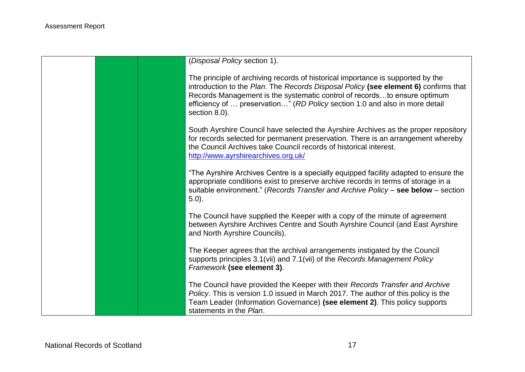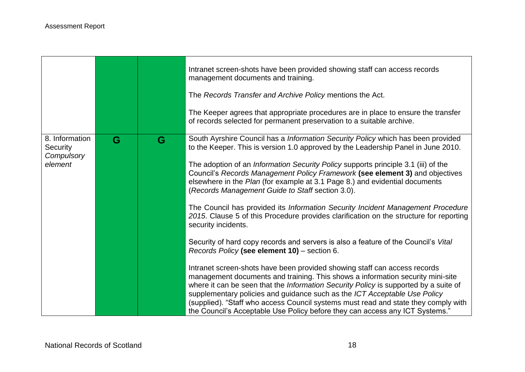|                                                     |   |   | Intranet screen-shots have been provided showing staff can access records<br>management documents and training.<br>The Records Transfer and Archive Policy mentions the Act.<br>The Keeper agrees that appropriate procedures are in place to ensure the transfer<br>of records selected for permanent preservation to a suitable archive.                                                                                                                                                                                                                                                                                                                                                                                                                                                                                                                                                                                                                                                                                                                                                                                                                                                                                                                                                                                                |
|-----------------------------------------------------|---|---|-------------------------------------------------------------------------------------------------------------------------------------------------------------------------------------------------------------------------------------------------------------------------------------------------------------------------------------------------------------------------------------------------------------------------------------------------------------------------------------------------------------------------------------------------------------------------------------------------------------------------------------------------------------------------------------------------------------------------------------------------------------------------------------------------------------------------------------------------------------------------------------------------------------------------------------------------------------------------------------------------------------------------------------------------------------------------------------------------------------------------------------------------------------------------------------------------------------------------------------------------------------------------------------------------------------------------------------------|
| 8. Information<br>Security<br>Compulsory<br>element | G | G | South Ayrshire Council has a Information Security Policy which has been provided<br>to the Keeper. This is version 1.0 approved by the Leadership Panel in June 2010.<br>The adoption of an <i>Information Security Policy</i> supports principle 3.1 (iii) of the<br>Council's Records Management Policy Framework (see element 3) and objectives<br>elsewhere in the Plan (for example at 3.1 Page 8.) and evidential documents<br>(Records Management Guide to Staff section 3.0).<br>The Council has provided its Information Security Incident Management Procedure<br>2015. Clause 5 of this Procedure provides clarification on the structure for reporting<br>security incidents.<br>Security of hard copy records and servers is also a feature of the Council's Vital<br>Records Policy (see element 10) - section 6.<br>Intranet screen-shots have been provided showing staff can access records<br>management documents and training. This shows a information security mini-site<br>where it can be seen that the Information Security Policy is supported by a suite of<br>supplementary policies and guidance such as the ICT Acceptable Use Policy<br>(supplied). "Staff who access Council systems must read and state they comply with<br>the Council's Acceptable Use Policy before they can access any ICT Systems." |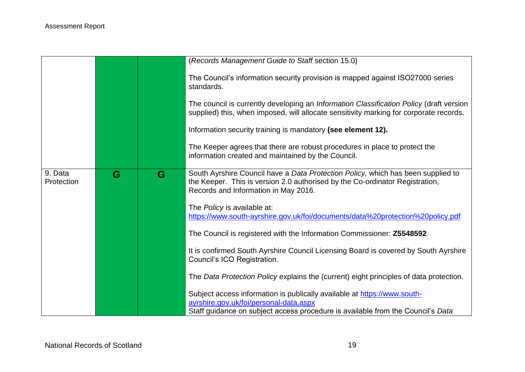|                       |   |   | (Records Management Guide to Staff section 15.0)                                                                                                                                                         |
|-----------------------|---|---|----------------------------------------------------------------------------------------------------------------------------------------------------------------------------------------------------------|
|                       |   |   | The Council's information security provision is mapped against ISO27000 series<br>standards.                                                                                                             |
|                       |   |   | The council is currently developing an Information Classification Policy (draft version<br>supplied) this, when imposed, will allocate sensitivity marking for corporate records.                        |
|                       |   |   | Information security training is mandatory (see element 12).                                                                                                                                             |
|                       |   |   | The Keeper agrees that there are robust procedures in place to protect the<br>information created and maintained by the Council.                                                                         |
| 9. Data<br>Protection | G | G | South Ayrshire Council have a Data Protection Policy, which has been supplied to<br>the Keeper. This is version 2.0 authorised by the Co-ordinator Registration,<br>Records and Information in May 2016. |
|                       |   |   | The Policy is available at:<br>https://www.south-ayrshire.gov.uk/foi/documents/data%20protection%20policy.pdf                                                                                            |
|                       |   |   | The Council is registered with the Information Commissioner: Z5548592                                                                                                                                    |
|                       |   |   | It is confirmed South Ayrshire Council Licensing Board is covered by South Ayrshire<br>Council's ICO Registration.                                                                                       |
|                       |   |   | The Data Protection Policy explains the (current) eight principles of data protection.                                                                                                                   |
|                       |   |   | Subject access information is publically available at https://www.south-<br>ayrshire.gov.uk/foi/personal-data.aspx<br>Staff guidance on subject access procedure is available from the Council's Data    |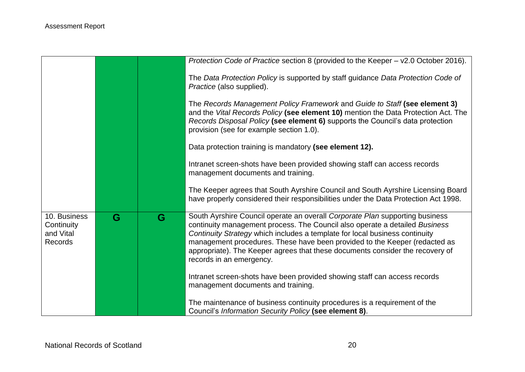|                                                           |   |   | Protection Code of Practice section 8 (provided to the Keeper - v2.0 October 2016).                                                                                                                                                                                                                                                                                                                                                   |
|-----------------------------------------------------------|---|---|---------------------------------------------------------------------------------------------------------------------------------------------------------------------------------------------------------------------------------------------------------------------------------------------------------------------------------------------------------------------------------------------------------------------------------------|
|                                                           |   |   | The Data Protection Policy is supported by staff guidance Data Protection Code of<br>Practice (also supplied).                                                                                                                                                                                                                                                                                                                        |
|                                                           |   |   | The Records Management Policy Framework and Guide to Staff (see element 3)<br>and the Vital Records Policy (see element 10) mention the Data Protection Act. The<br>Records Disposal Policy (see element 6) supports the Council's data protection<br>provision (see for example section 1.0).                                                                                                                                        |
|                                                           |   |   | Data protection training is mandatory (see element 12).                                                                                                                                                                                                                                                                                                                                                                               |
|                                                           |   |   | Intranet screen-shots have been provided showing staff can access records<br>management documents and training.                                                                                                                                                                                                                                                                                                                       |
|                                                           |   |   | The Keeper agrees that South Ayrshire Council and South Ayrshire Licensing Board<br>have properly considered their responsibilities under the Data Protection Act 1998.                                                                                                                                                                                                                                                               |
| 10. Business<br>Continuity<br>and Vital<br><b>Records</b> | G | G | South Ayrshire Council operate an overall Corporate Plan supporting business<br>continuity management process. The Council also operate a detailed Business<br>Continuity Strategy which includes a template for local business continuity<br>management procedures. These have been provided to the Keeper (redacted as<br>appropriate). The Keeper agrees that these documents consider the recovery of<br>records in an emergency. |
|                                                           |   |   | Intranet screen-shots have been provided showing staff can access records<br>management documents and training.                                                                                                                                                                                                                                                                                                                       |
|                                                           |   |   | The maintenance of business continuity procedures is a requirement of the<br>Council's Information Security Policy (see element 8).                                                                                                                                                                                                                                                                                                   |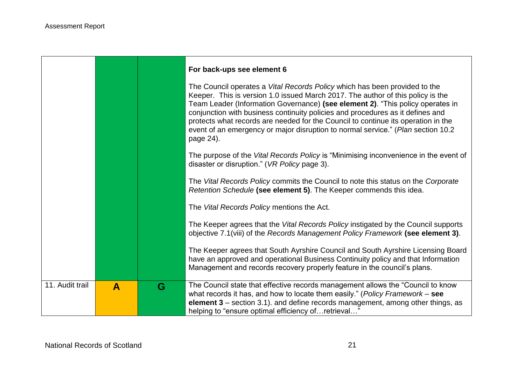|                 |                  |   | For back-ups see element 6                                                                                                                                                                                                                                                                                                                                                                                                                                                                                              |
|-----------------|------------------|---|-------------------------------------------------------------------------------------------------------------------------------------------------------------------------------------------------------------------------------------------------------------------------------------------------------------------------------------------------------------------------------------------------------------------------------------------------------------------------------------------------------------------------|
|                 |                  |   | The Council operates a Vital Records Policy which has been provided to the<br>Keeper. This is version 1.0 issued March 2017. The author of this policy is the<br>Team Leader (Information Governance) (see element 2). "This policy operates in<br>conjunction with business continuity policies and procedures as it defines and<br>protects what records are needed for the Council to continue its operation in the<br>event of an emergency or major disruption to normal service." (Plan section 10.2<br>page 24). |
|                 |                  |   | The purpose of the Vital Records Policy is "Minimising inconvenience in the event of<br>disaster or disruption." (VR Policy page 3).                                                                                                                                                                                                                                                                                                                                                                                    |
|                 |                  |   | The Vital Records Policy commits the Council to note this status on the Corporate<br>Retention Schedule (see element 5). The Keeper commends this idea.                                                                                                                                                                                                                                                                                                                                                                 |
|                 |                  |   | The Vital Records Policy mentions the Act.                                                                                                                                                                                                                                                                                                                                                                                                                                                                              |
|                 |                  |   | The Keeper agrees that the Vital Records Policy instigated by the Council supports<br>objective 7.1(viii) of the Records Management Policy Framework (see element 3).                                                                                                                                                                                                                                                                                                                                                   |
|                 |                  |   | The Keeper agrees that South Ayrshire Council and South Ayrshire Licensing Board<br>have an approved and operational Business Continuity policy and that Information<br>Management and records recovery properly feature in the council's plans.                                                                                                                                                                                                                                                                        |
| 11. Audit trail | $\blacktriangle$ | G | The Council state that effective records management allows the "Council to know<br>what records it has, and how to locate them easily." (Policy Framework $-$ see<br>element 3 - section 3.1). and define records management, among other things, as<br>helping to "ensure optimal efficiency of retrieval"                                                                                                                                                                                                             |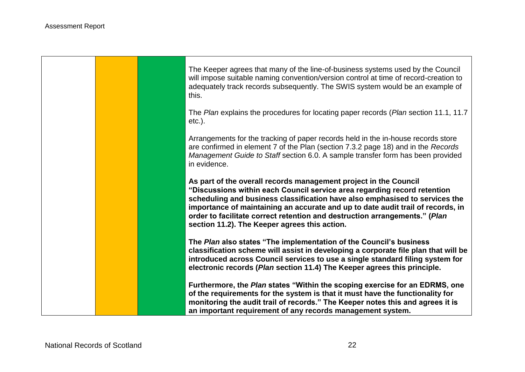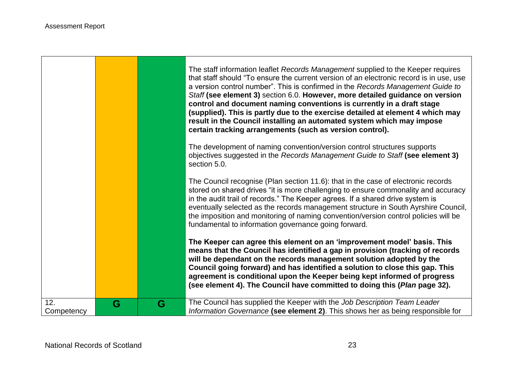$\Box$ 

|                   |   |   | The staff information leaflet Records Management supplied to the Keeper requires<br>that staff should "To ensure the current version of an electronic record is in use, use<br>a version control number". This is confirmed in the Records Management Guide to<br>Staff (see element 3) section 6.0. However, more detailed guidance on version<br>control and document naming conventions is currently in a draft stage<br>(supplied). This is partly due to the exercise detailed at element 4 which may<br>result in the Council installing an automated system which may impose<br>certain tracking arrangements (such as version control). |
|-------------------|---|---|-------------------------------------------------------------------------------------------------------------------------------------------------------------------------------------------------------------------------------------------------------------------------------------------------------------------------------------------------------------------------------------------------------------------------------------------------------------------------------------------------------------------------------------------------------------------------------------------------------------------------------------------------|
|                   |   |   | The development of naming convention/version control structures supports<br>objectives suggested in the Records Management Guide to Staff (see element 3)<br>section 5.0.                                                                                                                                                                                                                                                                                                                                                                                                                                                                       |
|                   |   |   | The Council recognise (Plan section 11.6): that in the case of electronic records<br>stored on shared drives "it is more challenging to ensure commonality and accuracy<br>in the audit trail of records." The Keeper agrees. If a shared drive system is<br>eventually selected as the records management structure in South Ayrshire Council,<br>the imposition and monitoring of naming convention/version control policies will be<br>fundamental to information governance going forward.                                                                                                                                                  |
|                   |   |   | The Keeper can agree this element on an 'improvement model' basis. This<br>means that the Council has identified a gap in provision (tracking of records<br>will be dependant on the records management solution adopted by the<br>Council going forward) and has identified a solution to close this gap. This<br>agreement is conditional upon the Keeper being kept informed of progress<br>(see element 4). The Council have committed to doing this (Plan page 32).                                                                                                                                                                        |
| 12.<br>Competency | G | G | The Council has supplied the Keeper with the Job Description Team Leader<br>Information Governance (see element 2). This shows her as being responsible for                                                                                                                                                                                                                                                                                                                                                                                                                                                                                     |

J.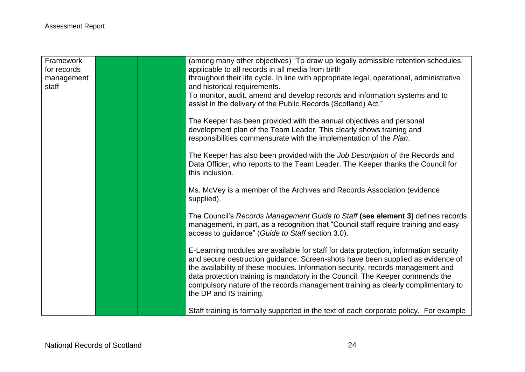| Framework<br>for records |  | (among many other objectives) "To draw up legally admissible retention schedules,<br>applicable to all records in all media from birth |
|--------------------------|--|----------------------------------------------------------------------------------------------------------------------------------------|
| management               |  | throughout their life cycle. In line with appropriate legal, operational, administrative                                               |
| staff                    |  | and historical requirements.                                                                                                           |
|                          |  | To monitor, audit, amend and develop records and information systems and to                                                            |
|                          |  | assist in the delivery of the Public Records (Scotland) Act."                                                                          |
|                          |  | The Keeper has been provided with the annual objectives and personal                                                                   |
|                          |  | development plan of the Team Leader. This clearly shows training and                                                                   |
|                          |  | responsibilities commensurate with the implementation of the Plan.                                                                     |
|                          |  | The Keeper has also been provided with the Job Description of the Records and                                                          |
|                          |  | Data Officer, who reports to the Team Leader. The Keeper thanks the Council for                                                        |
|                          |  | this inclusion.                                                                                                                        |
|                          |  | Ms. McVey is a member of the Archives and Records Association (evidence                                                                |
|                          |  | supplied).                                                                                                                             |
|                          |  | The Council's Records Management Guide to Staff (see element 3) defines records                                                        |
|                          |  | management, in part, as a recognition that "Council staff require training and easy                                                    |
|                          |  | access to guidance" (Guide to Staff section 3.0).                                                                                      |
|                          |  | E-Learning modules are available for staff for data protection, information security                                                   |
|                          |  | and secure destruction guidance. Screen-shots have been supplied as evidence of                                                        |
|                          |  | the availability of these modules. Information security, records management and                                                        |
|                          |  | data protection training is mandatory in the Council. The Keeper commends the                                                          |
|                          |  | compulsory nature of the records management training as clearly complimentary to                                                       |
|                          |  | the DP and IS training.                                                                                                                |
|                          |  | Staff training is formally supported in the text of each corporate policy. For example                                                 |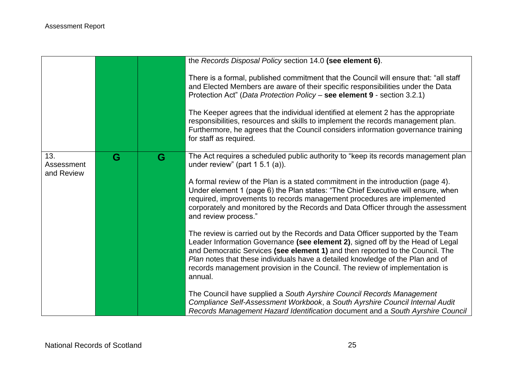|                   |   |   | the Records Disposal Policy section 14.0 (see element 6).                                                                                                                                                                                                                                                                                                                                                                       |
|-------------------|---|---|---------------------------------------------------------------------------------------------------------------------------------------------------------------------------------------------------------------------------------------------------------------------------------------------------------------------------------------------------------------------------------------------------------------------------------|
|                   |   |   | There is a formal, published commitment that the Council will ensure that: "all staff"<br>and Elected Members are aware of their specific responsibilities under the Data<br>Protection Act" (Data Protection Policy - see element 9 - section 3.2.1)                                                                                                                                                                           |
|                   |   |   | The Keeper agrees that the individual identified at element 2 has the appropriate<br>responsibilities, resources and skills to implement the records management plan.<br>Furthermore, he agrees that the Council considers information governance training<br>for staff as required.                                                                                                                                            |
| 13.<br>Assessment | G | G | The Act requires a scheduled public authority to "keep its records management plan<br>under review" (part $1\,5.1\,(a)$ ).                                                                                                                                                                                                                                                                                                      |
| and Review        |   |   | A formal review of the Plan is a stated commitment in the introduction (page 4).<br>Under element 1 (page 6) the Plan states: "The Chief Executive will ensure, when<br>required, improvements to records management procedures are implemented<br>corporately and monitored by the Records and Data Officer through the assessment<br>and review process."                                                                     |
|                   |   |   | The review is carried out by the Records and Data Officer supported by the Team<br>Leader Information Governance (see element 2), signed off by the Head of Legal<br>and Democratic Services (see element 1) and then reported to the Council. The<br>Plan notes that these individuals have a detailed knowledge of the Plan and of<br>records management provision in the Council. The review of implementation is<br>annual. |
|                   |   |   | The Council have supplied a South Ayrshire Council Records Management<br>Compliance Self-Assessment Workbook, a South Ayrshire Council Internal Audit<br>Records Management Hazard Identification document and a South Ayrshire Council                                                                                                                                                                                         |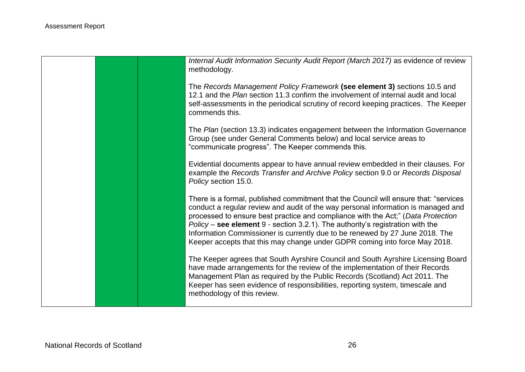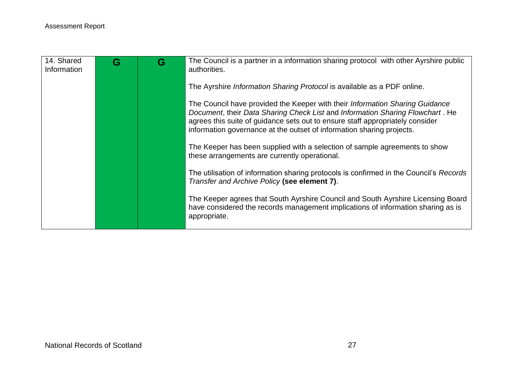| 14. Shared<br>Information | G | G | The Council is a partner in a information sharing protocol with other Ayrshire public<br>authorities.                                                                                                                                                                                                                   |
|---------------------------|---|---|-------------------------------------------------------------------------------------------------------------------------------------------------------------------------------------------------------------------------------------------------------------------------------------------------------------------------|
|                           |   |   | The Ayrshire <i>Information Sharing Protocol</i> is available as a PDF online.                                                                                                                                                                                                                                          |
|                           |   |   | The Council have provided the Keeper with their Information Sharing Guidance<br>Document, their Data Sharing Check List and Information Sharing Flowchart. He<br>agrees this suite of guidance sets out to ensure staff appropriately consider<br>information governance at the outset of information sharing projects. |
|                           |   |   | The Keeper has been supplied with a selection of sample agreements to show<br>these arrangements are currently operational.                                                                                                                                                                                             |
|                           |   |   | The utilisation of information sharing protocols is confirmed in the Council's Records<br>Transfer and Archive Policy (see element 7).                                                                                                                                                                                  |
|                           |   |   | The Keeper agrees that South Ayrshire Council and South Ayrshire Licensing Board<br>have considered the records management implications of information sharing as is<br>appropriate.                                                                                                                                    |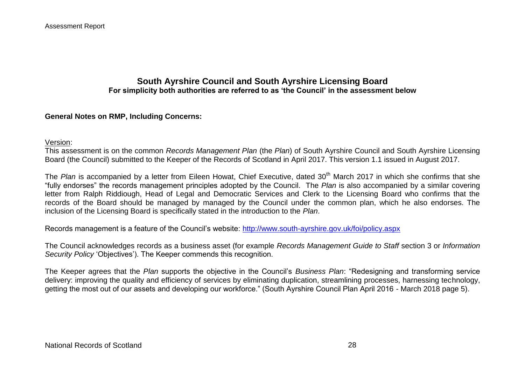## **South Ayrshire Council and South Ayrshire Licensing Board For simplicity both authorities are referred to as 'the Council' in the assessment below**

## **General Notes on RMP, Including Concerns:**

#### Version:

This assessment is on the common *Records Management Plan* (the *Plan*) of South Ayrshire Council and South Ayrshire Licensing Board (the Council) submitted to the Keeper of the Records of Scotland in April 2017. This version 1.1 issued in August 2017.

The *Plan* is accompanied by a letter from Eileen Howat, Chief Executive, dated 30<sup>th</sup> March 2017 in which she confirms that she "fully endorses" the records management principles adopted by the Council. The *Plan* is also accompanied by a similar covering letter from Ralph Riddiough, Head of Legal and Democratic Services and Clerk to the Licensing Board who confirms that the records of the Board should be managed by managed by the Council under the common plan, which he also endorses. The inclusion of the Licensing Board is specifically stated in the introduction to the *Plan*.

Records management is a feature of the Council's website:<http://www.south-ayrshire.gov.uk/foi/policy.aspx>

The Council acknowledges records as a business asset (for example *Records Management Guide to Staff* section 3 or *Information Security Policy* 'Objectives'). The Keeper commends this recognition.

The Keeper agrees that the *Plan* supports the objective in the Council's *Business Plan*: "Redesigning and transforming service delivery: improving the quality and efficiency of services by eliminating duplication, streamlining processes, harnessing technology, getting the most out of our assets and developing our workforce." (South Ayrshire Council Plan April 2016 - March 2018 page 5).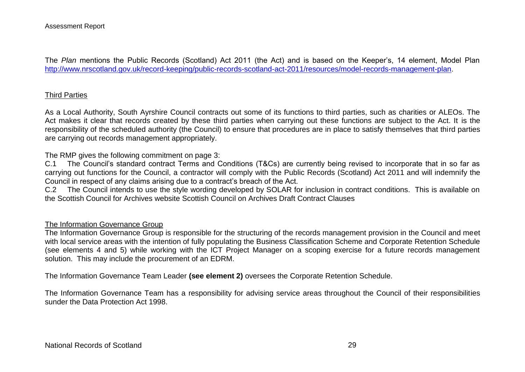The *Plan* mentions the Public Records (Scotland) Act 2011 (the Act) and is based on the Keeper's, 14 element, Model Plan [http://www.nrscotland.gov.uk/record-keeping/public-records-scotland-act-2011/resources/model-records-management-plan.](http://www.nrscotland.gov.uk/record-keeping/public-records-scotland-act-2011/resources/model-records-management-plan)

## Third Parties

As a Local Authority, South Ayrshire Council contracts out some of its functions to third parties, such as charities or ALEOs. The Act makes it clear that records created by these third parties when carrying out these functions are subject to the Act. It is the responsibility of the scheduled authority (the Council) to ensure that procedures are in place to satisfy themselves that third parties are carrying out records management appropriately.

The RMP gives the following commitment on page 3:

C.1 The Council's standard contract Terms and Conditions (T&Cs) are currently being revised to incorporate that in so far as carrying out functions for the Council, a contractor will comply with the Public Records (Scotland) Act 2011 and will indemnify the Council in respect of any claims arising due to a contract's breach of the Act.

C.2 The Council intends to use the style wording developed by SOLAR for inclusion in contract conditions. This is available on the Scottish Council for Archives website Scottish Council on Archives Draft Contract Clauses

#### The Information Governance Group

The Information Governance Group is responsible for the structuring of the records management provision in the Council and meet with local service areas with the intention of fully populating the Business Classification Scheme and Corporate Retention Schedule (see elements 4 and 5) while working with the ICT Project Manager on a scoping exercise for a future records management solution. This may include the procurement of an EDRM.

The Information Governance Team Leader **(see element 2)** oversees the Corporate Retention Schedule.

The Information Governance Team has a responsibility for advising service areas throughout the Council of their responsibilities sunder the Data Protection Act 1998.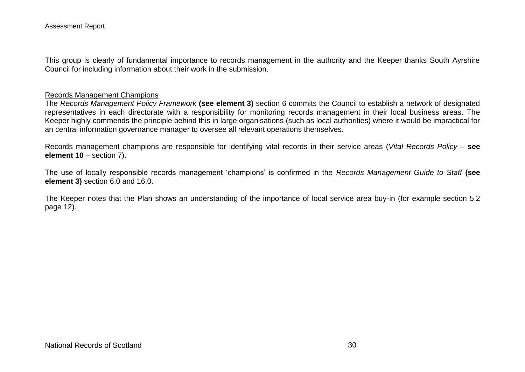This group is clearly of fundamental importance to records management in the authority and the Keeper thanks South Ayrshire Council for including information about their work in the submission.

#### Records Management Champions

The *Records Management Policy Framework* **(see element 3)** section 6 commits the Council to establish a network of designated representatives in each directorate with a responsibility for monitoring records management in their local business areas. The Keeper highly commends the principle behind this in large organisations (such as local authorities) where it would be impractical for an central information governance manager to oversee all relevant operations themselves.

Records management champions are responsible for identifying vital records in their service areas (*Vital Records Policy* – **see element 10** – section 7).

The use of locally responsible records management 'champions' is confirmed in the *Records Management Guide to Staff* **(see element 3)** section 6.0 and 16.0.

The Keeper notes that the Plan shows an understanding of the importance of local service area buy-in (for example section 5.2 page 12).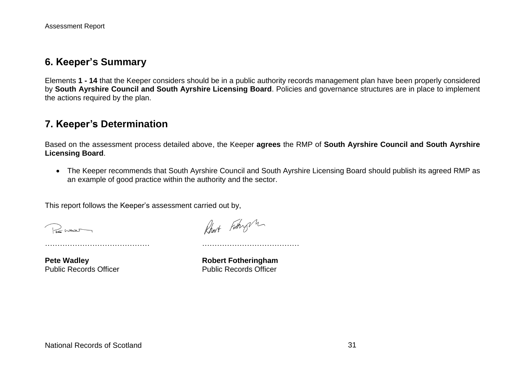# **6. Keeper's Summary**

Elements **1 - 14** that the Keeper considers should be in a public authority records management plan have been properly considered by **South Ayrshire Council and South Ayrshire Licensing Board**. Policies and governance structures are in place to implement the actions required by the plan.

## <span id="page-30-0"></span>**7. Keeper's Determination**

Based on the assessment process detailed above, the Keeper **agrees** the RMP of **South Ayrshire Council and South Ayrshire Licensing Board**.

 The Keeper recommends that South Ayrshire Council and South Ayrshire Licensing Board should publish its agreed RMP as an example of good practice within the authority and the sector.

This report follows the Keeper's assessment carried out by,

…………………………………… …………………………………

Remar

Robert Fotogh

**Pete Wadley**<br> **Public Records Officer**<br> **Robert Fotheringham**<br> **Rublic Records Officer Public Records Officer**